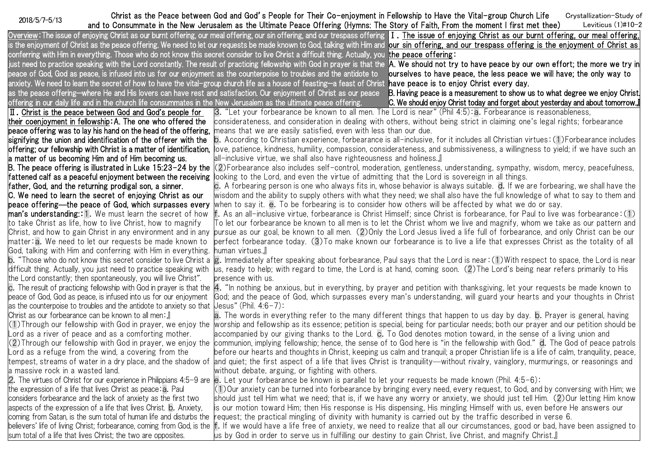Christ as the Peace between God and God's People for Their Co-enjoyment in Fellowship to Have the Vital-group Church Life Crystallization-Study of<br>2018/5/7-5/13 cand to Consummate in the New Jeruselem as the Ultimate Bases and to Consummate in the New Jerusalem as the Ultimate Peace Offering (Hymns: The Story of Faith, From the moment I first met thee) Leviticus (1)#10-2

<u>Overview</u>:The issue of enjoying Christ as our burnt offering, our meal offering, our sin offering, and our trespass offering I. <u>The issue of enjoying Christ as our burnt offering, our meal offering, l</u> is the enjoyment of Christ as the peace offering. We need to let our requests be made known to God, talking with Him and l<mark>our sin offering, and our trespass offering is the enjoyment of Christ as</mark> l conferring with Him in everything. Those who do not know this secret consider to live Christ a difficult thing. Actually, you the peace offering: just need to practice speaking with the Lord constantly. The result of practicing fellowship with God in prayer is that the A. We should not try to have peace by our own effort; the more we try in the the the the North (wi peace of God, God as peace, is infused into us for our enjoyment as the counterpoise to troubles and the antidote to anxiety. We need to learn the secret of how to have the vital-group church life as a house of feasting—a feast of Christ **have peace is to enjoy Christ every day.** as the peace offering—where He and His lovers can have rest and satisfaction. Our enjoyment of Christ as our peace offering in our daily life and in the church life consummates in the New Jerusalem as the ultimate peace offering. ourselves to have peace, the less peace we will have; the only way to B. Having peace is a measurement to show us to what degree we enjoy Christ. C. We should enjoy Christ today and forget about yesterday and about tomorrow.』 Ⅱ.Christ is the peace between God and God's people for their coenjoyment in fellowship:A. The one who offered the peace offering was to lay his hand on the head of the offering, signifying the union and identification of the offerer with the offering; our fellowship with Christ is a matter of identification, a matter of us becoming Him and of Him becoming us. B. The peace offering is illustrated in Luke 15:23-24 by the fattened calf as a peaceful enjoyment between the receiving father, God, and the returning prodigal son, a sinner. C. We need to learn the secret of enjoying Christ as our peace offering—the peace of God, which surpasses every man's understanding: 1. We must learn the secret of how to take Christ as life, how to live Christ, how to magnify Christ, and how to gain Christ in any environment and in any matter:a.We need to let our requests be made known to God, talking with Him and conferring with Him in everything. b."Those who do not know this secret consider to live Christ a difficult thing. Actually, you just need to practice speaking with the Lord constantly; then spontaneously, you will live Christ". c.The result of practicing fellowship with God in prayer is that the peace of God, God as peace, is infused into us for our enjoyment as the counterpoise to troubles and the antidote to anxiety so that Jesus" (Phil. 4:6-7): Christ as our forbearance can be known to all men:』 (1)Through our fellowship with God in prayer, we enjoy the worship and fellowship as its essence; petition is special, being for particular needs; both our prayer and our petition should be Lord as a river of peace and as a comforting mother. (2)Through our fellowship with God in prayer, we enjoy the Lord as a refuge from the wind, a covering from the tempest, streams of water in a dry place, and the shadow of |and quiet; the first aspect of a life that lives Christ is tranquility—without rivalry, vainglory, murmurings, or reasonings and a massive rock in a wasted land. 2.The virtues of Christ for our experience in Philippians 4:5-9 are the expression of a life that lives Christ as peace:a.Paul considers forbearance and the lack of anxiety as the first two aspects of the expression of a life that lives Christ. b.Anxiety, coming from Satan, is the sum total of human life and disturbs the believers' life of living Christ; forbearance, coming from God, is the sum total of a life that lives Christ; the two are opposites. 3."Let your forbearance be known to all men. The Lord is near" (Phil 4:5):a.Forbearance is reasonableness, considerateness, and consideration in dealing with others, without being strict in claiming one's legal rights; forbearance means that we are easily satisfied, even with less than our due. b.According to Christian experience, forbearance is all-inclusive, for it includes all Christian virtues:(1)Forbearance includes love, patience, kindness, humility, compassion, considerateness, and submissiveness, a willingness to yield; if we have such an all-inclusive virtue, we shall also have righteousness and holiness.』 (2)Forbearance also includes self-control, moderation, gentleness, understanding, sympathy, wisdom, mercy, peacefulness, looking to the Lord, and even the virtue of admitting that the Lord is sovereign in all things. c.A forbearing person is one who always fits in, whose behavior is always suitable. d.If we are forbearing, we shall have the wisdom and the ability to supply others with what they need; we shall also have the full knowledge of what to say to them and when to say it. e. To be forbearing is to consider how others will be affected by what we do or say. f.As an all-inclusive virtue, forbearance is Christ Himself; since Christ is forbearance, for Paul to live was forbearance:(1) To let our forbearance be known to all men is to let the Christ whom we live and magnify, whom we take as our pattern and pursue as our goal, be known to all men. (2)Only the Lord Jesus lived a life full of forbearance, and only Christ can be our perfect forbearance today. (3)To make known our forbearance is to live a life that expresses Christ as the totality of all human virtues.』 g.Immediately after speaking about forbearance, Paul says that the Lord is near:(1)With respect to space, the Lord is near us, ready to help; with regard to time, the Lord is at hand, coming soon. (2)The Lord's being near refers primarily to His presence with us. 4."In nothing be anxious, but in everything, by prayer and petition with thanksgiving, let your requests be made known to God; and the peace of God, which surpasses every man's understanding, will guard your hearts and your thoughts in Christ a. The words in everything refer to the many different things that happen to us day by day. b. Prayer is general, having accompanied by our giving thanks to the Lord. c.To God denotes motion toward, in the sense of a living union and communion, implying fellowship; hence, the sense of to God here is "in the fellowship with God." d. The God of peace patrols before our hearts and thoughts in Christ, keeping us calm and tranquil; a proper Christian life is a life of calm, tranquility, peace, without debate, arguing, or fighting with others. e. Let your forbearance be known is parallel to let your requests be made known (Phil.  $4:5-6$ ): (1)Our anxiety can be turned into forbearance by bringing every need, every request, to God, and by conversing with Him; we should just tell Him what we need; that is, if we have any worry or anxiety, we should just tell Him. (2)Our letting Him know is our motion toward Him; then His response is His dispensing, His mingling Himself with us, even before He answers our request; the practical mingling of divinity with humanity is carried out by the traffic described in verse 6. f.If we would have a life free of anxiety, we need to realize that all our circumstances, good or bad, have been assigned to us by God in order to serve us in fulfilling our destiny to gain Christ, live Christ, and magnify Christ.』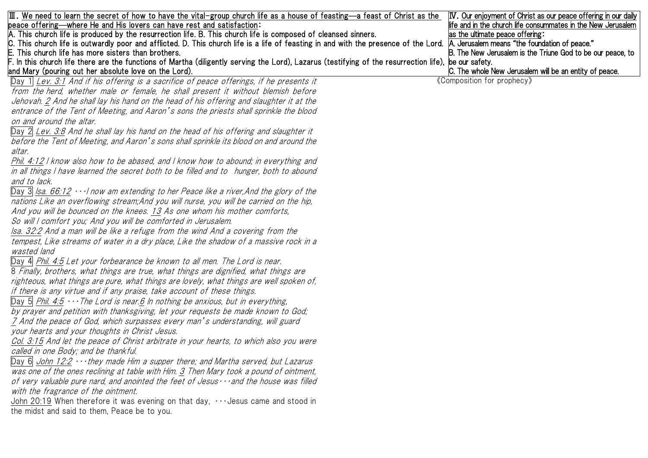| $\boxed{\rm II}$ . We need to learn the secret of how to have the vital-group church life as a house of feasting—a feast of Christ as the                                           | <b>IV.</b> Our enjoyment of Christ as our peace offering in our daily |
|-------------------------------------------------------------------------------------------------------------------------------------------------------------------------------------|-----------------------------------------------------------------------|
| beace offering—where He and His lovers can have rest and satisfaction:                                                                                                              | life and in the church life consummates in the New Jerusalem          |
| A. This church life is produced by the resurrection life. B. This church life is composed of cleansed sinners.                                                                      | as the ultimate peace offering:                                       |
| C. This church life is outwardly poor and afflicted. D. This church life is a life of feasting in and with the presence of the Lord.  A. Jerusalem means "the foundation of peace." |                                                                       |
| This church life has more sisters than brothers.                                                                                                                                    | B. The New Jerusalem is the Triune God to be our peace, to            |
| F. In this church life there are the functions of Martha (diligently serving the Lord), Lazarus (testifying of the resurrection life), be our safety.                               |                                                                       |
| and Mary (pouring out her absolute love on the Lord).                                                                                                                               | C. The whole New Jerusalem will be an entity of peace.                |
| $\Box$ ay 1 Lev. 3:1 And if his offering is a sacrifice of peace offerings, if he presents it                                                                                       | «Composition for prophecy»                                            |
| from the herd, whether male or female, he shall present it without blemish before                                                                                                   |                                                                       |
| Jehovah. 2 And he shall lay his hand on the head of his offering and slaughter it at the                                                                                            |                                                                       |
| entrance of the Tent of Meeting, and Aaron's sons the priests shall sprinkle the blood                                                                                              |                                                                       |
| on and around the altar.                                                                                                                                                            |                                                                       |
| Day 2 Lev. 3:8 And he shall lay his hand on the head of his offering and slaughter it                                                                                               |                                                                       |
| before the Tent of Meeting, and Aaron's sons shall sprinkle its blood on and around the                                                                                             |                                                                       |
| altar.                                                                                                                                                                              |                                                                       |
| Phil. 4:12   know also how to be abased, and   know how to abound; in everything and                                                                                                |                                                                       |
| in all things I have learned the secret both to be filled and to hunger, both to abound                                                                                             |                                                                       |
| and to lack.                                                                                                                                                                        |                                                                       |
| Day 3 $\vert$ Isa. 66:12 $\cdots$ now am extending to her Peace like a river, And the glory of the                                                                                  |                                                                       |
| nations Like an overflowing stream; And you will nurse, you will be carried on the hip,                                                                                             |                                                                       |
| And you will be bounced on the knees. 13 As one whom his mother comforts,                                                                                                           |                                                                       |
| So will I comfort you; And you will be comforted in Jerusalem.                                                                                                                      |                                                                       |
| Isa. 32:2 And a man will be like a refuge from the wind And a covering from the                                                                                                     |                                                                       |
| tempest, Like streams of water in a dry place, Like the shadow of a massive rock in a                                                                                               |                                                                       |
| wasted land                                                                                                                                                                         |                                                                       |
| Day 4 Phil. 4:5 Let your forbearance be known to all men. The Lord is near.                                                                                                         |                                                                       |
| 8 Finally, brothers, what things are true, what things are dignified, what things are                                                                                               |                                                                       |
| righteous, what things are pure, what things are lovely, what things are well spoken of,                                                                                            |                                                                       |
| if there is any virtue and if any praise, take account of these things.                                                                                                             |                                                                       |
| Day 5 Phil. 4.5 $\cdots$ The Lord is near 6 In nothing be anxious, but in everything,                                                                                               |                                                                       |
| by prayer and petition with thanksgiving, let your requests be made known to God;                                                                                                   |                                                                       |
| 7 And the peace of God, which surpasses every man's understanding, will guard                                                                                                       |                                                                       |
| your hearts and your thoughts in Christ Jesus.                                                                                                                                      |                                                                       |
| Col. 3:15 And let the peace of Christ arbitrate in your hearts, to which also you were                                                                                              |                                                                       |
| called in one Body; and be thankful.                                                                                                                                                |                                                                       |
| Day 6 $\frac{\text{John 12:2} \cdots \text{they made Him a support there; and Martha served, but Lazarus}}{}$                                                                       |                                                                       |
| was one of the ones reclining at table with Him. 3 Then Mary took a pound of ointment,                                                                                              |                                                                       |
| of very valuable pure nard, and anointed the feet of Jesus $\cdots$ and the house was filled                                                                                        |                                                                       |
|                                                                                                                                                                                     |                                                                       |
| with the fragrance of the ointment.<br>John 20:19 When therefore it was evening on that day, $\cdots$ Jesus came and stood in                                                       |                                                                       |
|                                                                                                                                                                                     |                                                                       |
| the midst and said to them, Peace be to you.                                                                                                                                        |                                                                       |
|                                                                                                                                                                                     |                                                                       |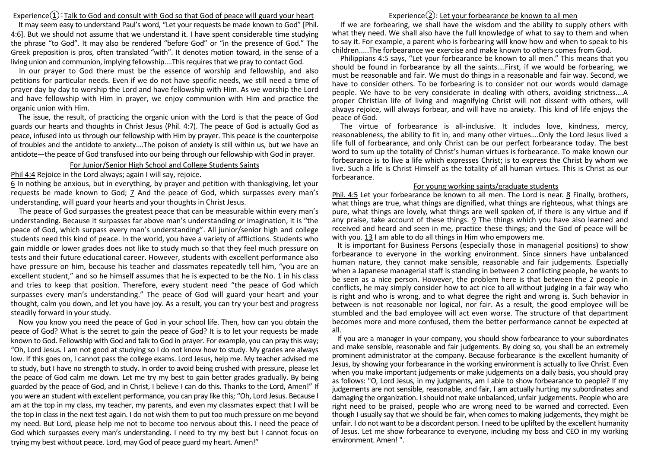# Experience $\Omega$ : Talk to God and consult with God so that God of peace will guard your heart

It may seem easy to understand Paul's word, "Let your requests be made known to God" [Phil. 4:6]. But we should not assume that we understand it. I have spent considerable time studying the phrase "to God". It may also be rendered "before God" or "in the presence of God." The Greek preposition is pros, often translated "with". It denotes motion toward, in the sense of a living union and communion, implying fellowship....This requires that we pray to contact God.

In our prayer to God there must be the essence of worship and fellowship, and also petitions for particular needs. Even if we do not have specific needs, we still need a time of prayer day by day to worship the Lord and have fellowship with Him. As we worship the Lord and have fellowship with Him in prayer, we enjoy communion with Him and practice the organic union with Him.

The issue, the result, of practicing the organic union with the Lord is that the peace of God guards our hearts and thoughts in Christ Jesus (Phil. 4:7). The peace of God is actually God as peace, infused into us through our fellowship with Him by prayer. This peace is the counterpoise of troubles and the antidote to anxiety....The poison of anxiety is still within us, but we have an antidote—the peace of God transfused into our being through our fellowship with God in prayer.

### For Junior/Senior High School and College Students Saints

#### Phil 4:4 Rejoice in the Lord always; again I will say, rejoice.

6 In nothing be anxious, but in everything, by prayer and petition with thanksgiving, let your requests be made known to God; 7 And the peace of God, which surpasses every man's understanding, will guard your hearts and your thoughts in Christ Jesus.

The peace of God surpasses the greatest peace that can be measurable within every man's understanding. Because it surpasses far above man's understanding or imagination, it is "the peace of God, which surpass every man's understanding". All junior/senior high and college students need this kind of peace. In the world, you have a variety of afflictions. Students who gain middle or lower grades does not like to study much so that they feel much pressure on tests and their future educational career. However, students with excellent performance also have pressure on him, because his teacher and classmates repeatedly tell him, "you are an excellent student," and so he himself assumes that he is expected to be the No. 1 in his class and tries to keep that position. Therefore, every student need "the peace of God which surpasses every man's understanding." The peace of God will guard your heart and your thought, calm you down, and let you have joy. As a result, you can try your best and progress steadily forward in your study.

Now you know you need the peace of God in your school life. Then, how can you obtain the peace of God? What is the secret to gain the peace of God? It is to let your requests be made known to God. Fellowship with God and talk to God in prayer. For example, you can pray this way; "Oh, Lord Jesus. I am not good at studying so I do not know how to study. My grades are always low. If this goes on, I cannot pass the college exams. Lord Jesus, help me. My teacher advised me to study, but I have no strength to study. In order to avoid being crushed with pressure, please let the peace of God calm me down. Let me try my best to gain better grades gradually. By being guarded by the peace of God, and in Christ, I believe I can do this. Thanks to the Lord, Amen!" If you were an student with excellent performance, you can pray like this; "Oh, Lord Jesus. Because I am at the top in my class, my teacher, my parents, and even my classmates expect that I will be the top in class in the next test again. I do not wish them to put too much pressure on me beyond my need. But Lord, please help me not to become too nervous about this. I need the peace of God which surpasses every man's understanding. I need to try my best but I cannot focus on trying my best without peace. Lord, may God of peace guard my heart. Amen!"

# Experience $(2)$ : Let your forbearance be known to all men

If we are forbearing, we shall have the wisdom and the ability to supply others with what they need. We shall also have the full knowledge of what to say to them and when to say it. For example, a parent who is forbearing will know how and when to speak to his children.....The forbearance we exercise and make known to others comes from God.

Philippians 4:5 says, "Let your forbearance be known to all men." This means that you should be found in forbearance by all the saints….First, if we would be forbearing, we must be reasonable and fair. We must do things in a reasonable and fair way. Second, we have to consider others. To be forbearing is to consider not our words would damage people. We have to be very considerate in dealing with others, avoiding strictness….A proper Christian life of living and magnifying Christ will not dissent with others, will always rejoice, will always forbear, and will have no anxiety. This kind of life enjoys the peace of God.

The virtue of forbearance is all-inclusive. It includes love, kindness, mercy, reasonableness, the ability to fit in, and many other virtues….Only the Lord Jesus lived a life full of forbearance, and only Christ can be our perfect forbearance today. The best word to sum up the totality of Christ's human virtues is forbearance. To make known our forbearance is to live a life which expresses Christ; is to express the Christ by whom we live. Such a life is Christ Himself as the totality of all human virtues. This is Christ as our forbearance.

### For young working saints/graduate students

Phil. 4:5 Let your forbearance be known to all men. The Lord is near. 8 Finally, brothers, what things are true, what things are dignified, what things are righteous, what things are pure, what things are lovely, what things are well spoken of, if there is any virtue and if any praise, take account of these things. 9 The things which you have also learned and received and heard and seen in me, practice these things; and the God of peace will be with you. 13 I am able to do all things in Him who empowers me.

It is important for Business Persons (especially those in managerial positions) to show forbearance to everyone in the working environment. Since sinners have unbalanced human nature, they cannot make sensible, reasonable and fair judgements. Especially when a Japanese managerial staff is standing in between 2 conflicting people, he wants to be seen as a nice person. However, the problem here is that between the 2 people in conflicts, he may simply consider how to act nice to all without judging in a fair way who is right and who is wrong, and to what degree the right and wrong is. Such behavior in between is not reasonable nor logical, nor fair. As a result, the good employee will be stumbled and the bad employee will act even worse. The structure of that department becomes more and more confused, them the better performance cannot be expected at all.

If you are a manager in your company, you should show forbearance to your subordinates and make sensible, reasonable and fair judgements. By doing so, you shall be an extremely prominent administrator at the company. Because forbearance is the excellent humanity of Jesus, by showing your forbearance in the working environment is actually to live Christ. Even when you make important judgements or make judgements on a daily basis, you should pray as follows: "O, Lord Jesus, in my judgments, am I able to show forbearance to people? If my judgements are not sensible, reasonable, and fair, I am actually hurting my subordinates and damaging the organization. I should not make unbalanced, unfair judgements. People who are right need to be praised, people who are wrong need to be warned and corrected. Even though I usually say that we should be fair, when comes to making judgements, they might be unfair. I do not want to be a discordant person. I need to be uplifted by the excellent humanity of Jesus. Let me show forbearance to everyone, including my boss and CEO in my working environment. Amen! ".